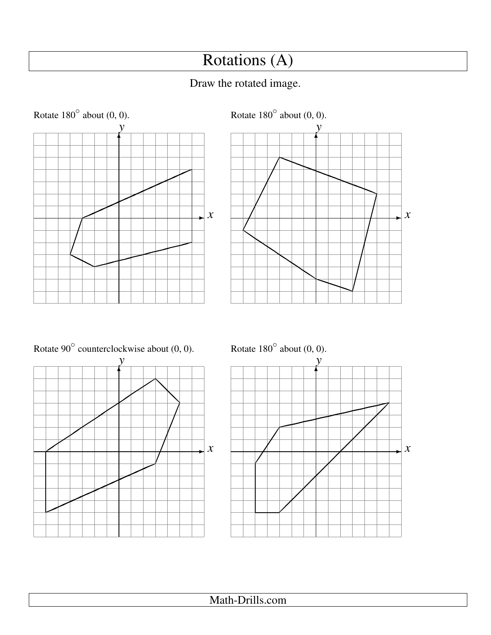## Rotations (A)

## Draw the rotated image.





Rotate  $90^\circ$  counterclockwise about  $(0, 0)$ .